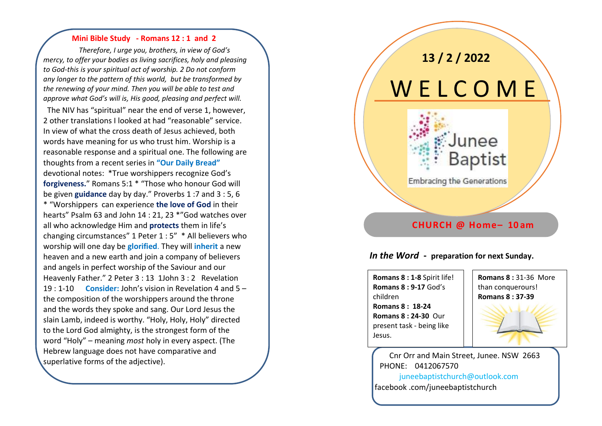#### **Mini Bible Study - Romans 12 : 1 and 2**

 *Therefore, I urge you, brothers, in view of God's mercy, to offer your bodies as living sacrifices, holy and pleasing to God-this is your spiritual act of worship. 2 Do not conform any longer to the pattern of this world, but be transformed by the renewing of your mind. Then you will be able to test and approve what God's will is, His good, pleasing and perfect will.*

 The NIV has "spiritual" near the end of verse 1, however, 2 other translations I looked at had "reasonable" service. In view of what the cross death of Jesus achieved, both words have meaning for us who trust him. Worship is a reasonable response and a spiritual one. The following are thoughts from a recent series in **"Our Daily Bread"** devotional notes: \*True worshippers recognize God's **forgiveness.**" Romans 5:1 \* "Those who honour God will be given **guidance** day by day." Proverbs 1 :7 and 3 : 5, 6 \* "Worshippers can experience **the love of God** in their hearts" Psalm 63 and John 14 : 21, 23 \*"God watches over all who acknowledge Him and **protects** them in life's changing circumstances" 1 Peter 1 : 5" \* All believers who worship will one day be **glorified**. They will **inherit** a new heaven and a new earth and join a company of believers and angels in perfect worship of the Saviour and our Heavenly Father." 2 Peter 3 : 13 1John 3 : 2 Revelation 19 : 1-10 **Consider:** John's vision in Revelation 4 and 5 – the composition of the worshippers around the throne and the words they spoke and sang. Our Lord Jesus the slain Lamb, indeed is worthy. "Holy, Holy, Holy" directed to the Lord God almighty, is the strongest form of the word "Holy" – meaning *most* holy in every aspect. (The Hebrew language does not have comparative and superlative forms of the adjective).

# **13 / 2 / 2022**

# W E L C O M E

## **Embracing the Generations**

#### **CHURCH @ Home– 10 am**

Junee

Baptist

#### *In the Word* **- preparation for next Sunday.**

**Romans 8 : 1-8** Spirit life! **Romans 8 : 9-17** God's children **Romans 8 : 18-24 Romans 8 : 24-30** Our present task - being like Jesus.

## **Romans 8 :** 31-36 More than conquerours! **Romans 8 : 37-39**

### Cnr Orr and Main Street, Junee. NSW 2663 PHONE: 0412067570

 juneebaptistchurch@outlook.com facebook .com/juneebaptistchurch